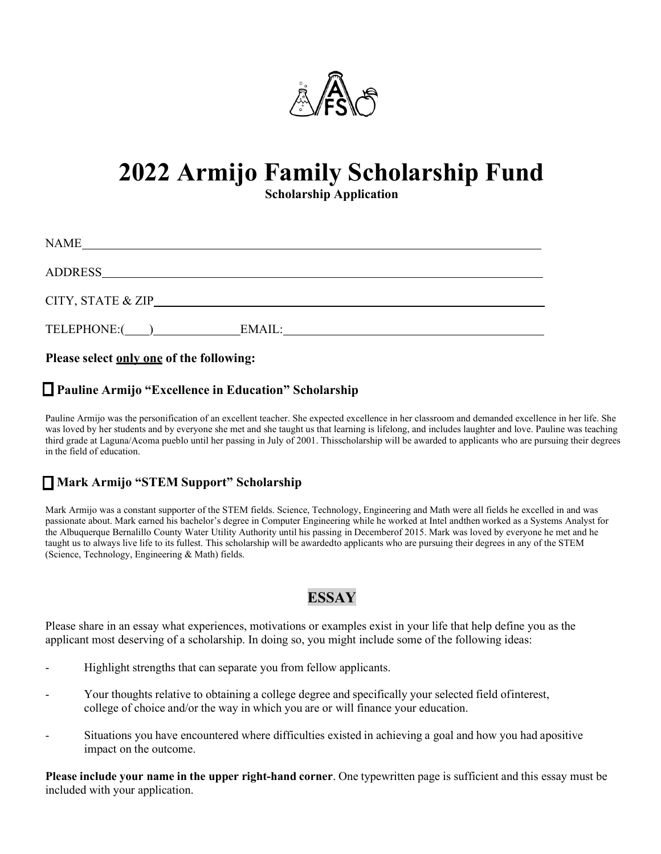

# **2022 Armijo Family Scholarship Fund**

**Scholarship Application**

| <b>NAME</b>       |        |
|-------------------|--------|
| <b>ADDRESS</b>    |        |
| CITY, STATE & ZIP |        |
| TELEPHONE:(       | EMAIL: |

**Please select only one of the following:**

## **Pauline Armijo "Excellence in Education" Scholarship**

Pauline Armijo was the personification of an excellent teacher. She expected excellence in her classroom and demanded excellence in her life. She was loved by her students and by everyone she met and she taught us that learning is lifelong, and includes laughter and love. Pauline was teaching third grade at Laguna/Acoma pueblo until her passing in July of 2001. Thisscholarship will be awarded to applicants who are pursuing their degrees in the field of education.

#### **Mark Armijo "STEM Support" Scholarship**

Mark Armijo was a constant supporter of the STEM fields. Science, Technology, Engineering and Math were all fields he excelled in and was passionate about. Mark earned his bachelor's degree in Computer Engineering while he worked at Intel andthen worked as a Systems Analyst for the Albuquerque Bernalillo County Water Utility Authority until his passing in Decemberof 2015. Mark was loved by everyone he met and he taught us to always live life to its fullest. This scholarship will be awardedto applicants who are pursuing their degrees in any of the STEM (Science, Technology, Engineering & Math) fields.

## **ESSAY**

Please share in an essay what experiences, motivations or examples exist in your life that help define you as the applicant most deserving of a scholarship. In doing so, you might include some of the following ideas:

- Highlight strengths that can separate you from fellow applicants.
- Your thoughts relative to obtaining a college degree and specifically your selected field of interest, college of choice and/or the way in which you are or will finance your education.
- Situations you have encountered where difficulties existed in achieving a goal and how you had apositive impact on the outcome.

**Please include your name in the upper right-hand corner**. One typewritten page is sufficient and this essay must be included with your application.